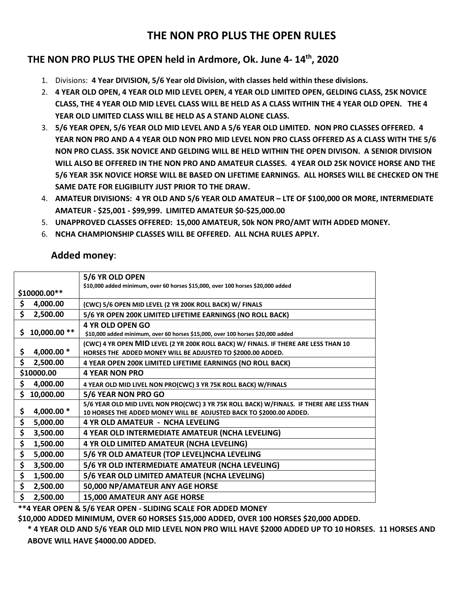## **THE NON PRO PLUS THE OPEN RULES**

## **THE NON PRO PLUS THE OPEN held in Ardmore, Ok. June 4- 14th , 2020**

- 1. Divisions: **4 Year DIVISION, 5/6 Year old Division, with classes held within these divisions.**
- 2. **4 YEAR OLD OPEN, 4 YEAR OLD MID LEVEL OPEN, 4 YEAR OLD LIMITED OPEN, GELDING CLASS, 25K NOVICE CLASS, THE 4 YEAR OLD MID LEVEL CLASS WILL BE HELD AS A CLASS WITHIN THE 4 YEAR OLD OPEN. THE 4 YEAR OLD LIMITED CLASS WILL BE HELD AS A STAND ALONE CLASS.**
- 3. **5/6 YEAR OPEN, 5/6 YEAR OLD MID LEVEL AND A 5/6 YEAR OLD LIMITED. NON PRO CLASSES OFFERED. 4 YEAR NON PRO AND A 4 YEAR OLD NON PRO MID LEVEL NON PRO CLASS OFFERED AS A CLASS WITH THE 5/6 NON PRO CLASS. 35K NOVICE AND GELDING WILL BE HELD WITHIN THE OPEN DIVISON. A SENIOR DIVISION WILL ALSO BE OFFERED IN THE NON PRO AND AMATEUR CLASSES. 4 YEAR OLD 25K NOVICE HORSE AND THE 5/6 YEAR 35K NOVICE HORSE WILL BE BASED ON LIFETIME EARNINGS. ALL HORSES WILL BE CHECKED ON THE SAME DATE FOR ELIGIBILITY JUST PRIOR TO THE DRAW.**
- 4. **AMATEUR DIVISIONS: 4 YR OLD AND 5/6 YEAR OLD AMATEUR – LTE OF \$100,000 OR MORE, INTERMEDIATE AMATEUR - \$25,001 - \$99,999. LIMITED AMATEUR \$0-\$25,000.00**
- 5. **UNAPPROVED CLASSES OFFERED: 15,000 AMATEUR, 50k NON PRO/AMT WITH ADDED MONEY.**
- 6. **NCHA CHAMPIONSHIP CLASSES WILL BE OFFERED. ALL NCHA RULES APPLY.**

## **Added money**:

|                     | 5/6 YR OLD OPEN                                                                          |
|---------------------|------------------------------------------------------------------------------------------|
|                     | \$10,000 added minimum, over 60 horses \$15,000, over 100 horses \$20,000 added          |
| \$10000.00**        |                                                                                          |
| \$<br>4,000.00      | (CWC) 5/6 OPEN MID LEVEL (2 YR 200K ROLL BACK) W/ FINALS                                 |
| \$<br>2,500.00      | 5/6 YR OPEN 200K LIMITED LIFETIME EARNINGS (NO ROLL BACK)                                |
|                     | <b>4 YR OLD OPEN GO</b>                                                                  |
| 10,000.00 **<br>\$. | \$10,000 added minimum, over 60 horses \$15,000, over 100 horses \$20,000 added          |
|                     | (CWC) 4 YR OPEN MID LEVEL (2 YR 200K ROLL BACK) W/ FINALS. IF THERE ARE LESS THAN 10     |
| 4,000.00 *<br>\$    | HORSES THE ADDED MONEY WILL BE ADJUSTED TO \$2000.00 ADDED.                              |
| \$<br>2,500.00      | 4 YEAR OPEN 200K LIMITED LIFETIME EARNINGS (NO ROLL BACK)                                |
| \$10000.00          | <b>4 YEAR NON PRO</b>                                                                    |
| \$<br>4,000.00      | 4 YEAR OLD MID LIVEL NON PRO(CWC) 3 YR 75K ROLL BACK) W/FINALS                           |
| \$<br>10,000.00     | 5/6 YEAR NON PRO GO                                                                      |
|                     | 5/6 YEAR OLD MID LIVEL NON PRO(CWC) 3 YR 75K ROLL BACK) W/FINALS. IF THERE ARE LESS THAN |
| \$<br>4,000.00 *    | 10 HORSES THE ADDED MONEY WILL BE ADJUSTED BACK TO \$2000.00 ADDED.                      |
| \$<br>5,000.00      | 4 YR OLD AMATEUR - NCHA LEVELING                                                         |
| \$<br>3,500.00      | 4 YEAR OLD INTERMEDIATE AMATEUR (NCHA LEVELING)                                          |
| \$<br>1,500.00      | 4 YR OLD LIMITED AMATEUR (NCHA LEVELING)                                                 |
| \$<br>5,000.00      | 5/6 YR OLD AMATEUR (TOP LEVEL)NCHA LEVELING                                              |
| \$<br>3,500.00      | 5/6 YR OLD INTERMEDIATE AMATEUR (NCHA LEVELING)                                          |
| \$<br>1,500.00      | 5/6 YEAR OLD LIMITED AMATEUR (NCHA LEVELING)                                             |
| \$<br>2,500.00      | 50,000 NP/AMATEUR ANY AGE HORSE                                                          |
| \$<br>2,500.00      | 15,000 AMATEUR ANY AGE HORSE                                                             |

**\*\*4 YEAR OPEN & 5/6 YEAR OPEN - SLIDING SCALE FOR ADDED MONEY**

**\$10,000 ADDED MINIMUM, OVER 60 HORSES \$15,000 ADDED, OVER 100 HORSES \$20,000 ADDED.**

**\* 4 YEAR OLD AND 5/6 YEAR OLD MID LEVEL NON PRO WILL HAVE \$2000 ADDED UP TO 10 HORSES. 11 HORSES AND ABOVE WILL HAVE \$4000.00 ADDED.**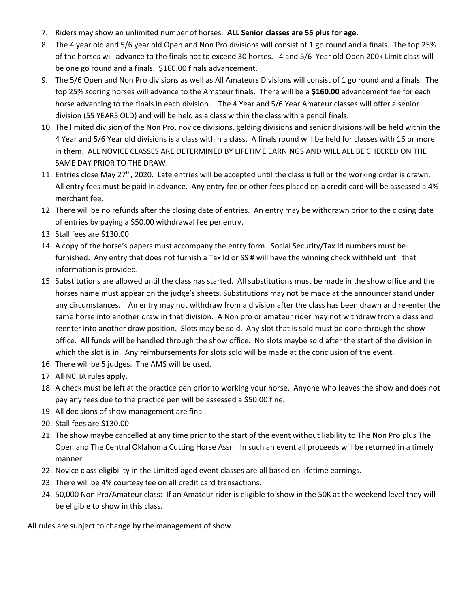- 7. Riders may show an unlimited number of horses. **ALL Senior classes are 55 plus for age**.
- 8. The 4 year old and 5/6 year old Open and Non Pro divisions will consist of 1 go round and a finals. The top 25% of the horses will advance to the finals not to exceed 30 horses. 4 and 5/6 Year old Open 200k Limit class will be one go round and a finals. \$160.00 finals advancement.
- 9. The 5/6 Open and Non Pro divisions as well as All Amateurs Divisions will consist of 1 go round and a finals. The top 25% scoring horses will advance to the Amateur finals. There will be a **\$160.00** advancement fee for each horse advancing to the finals in each division. The 4 Year and 5/6 Year Amateur classes will offer a senior division (55 YEARS OLD) and will be held as a class within the class with a pencil finals.
- 10. The limited division of the Non Pro, novice divisions, gelding divisions and senior divisions will be held within the 4 Year and 5/6 Year old divisions is a class within a class. A finals round will be held for classes with 16 or more in them. ALL NOVICE CLASSES ARE DETERMINED BY LIFETIME EARNINGS AND WILL ALL BE CHECKED ON THE SAME DAY PRIOR TO THE DRAW.
- 11. Entries close May 27<sup>th</sup>, 2020. Late entries will be accepted until the class is full or the working order is drawn. All entry fees must be paid in advance. Any entry fee or other fees placed on a credit card will be assessed a 4% merchant fee.
- 12. There will be no refunds after the closing date of entries. An entry may be withdrawn prior to the closing date of entries by paying a \$50.00 withdrawal fee per entry.
- 13. Stall fees are \$130.00
- 14. A copy of the horse's papers must accompany the entry form. Social Security/Tax Id numbers must be furnished. Any entry that does not furnish a Tax Id or SS # will have the winning check withheld until that information is provided.
- 15. Substitutions are allowed until the class has started. All substitutions must be made in the show office and the horses name must appear on the judge's sheets. Substitutions may not be made at the announcer stand under any circumstances. An entry may not withdraw from a division after the class has been drawn and re-enter the same horse into another draw in that division. A Non pro or amateur rider may not withdraw from a class and reenter into another draw position. Slots may be sold. Any slot that is sold must be done through the show office. All funds will be handled through the show office. No slots maybe sold after the start of the division in which the slot is in. Any reimbursements for slots sold will be made at the conclusion of the event.
- 16. There will be 5 judges. The AMS will be used.
- 17. All NCHA rules apply.
- 18. A check must be left at the practice pen prior to working your horse. Anyone who leaves the show and does not pay any fees due to the practice pen will be assessed a \$50.00 fine.
- 19. All decisions of show management are final.
- 20. Stall fees are \$130.00
- 21. The show maybe cancelled at any time prior to the start of the event without liability to The Non Pro plus The Open and The Central Oklahoma Cutting Horse Assn. In such an event all proceeds will be returned in a timely manner.
- 22. Novice class eligibility in the Limited aged event classes are all based on lifetime earnings.
- 23. There will be 4% courtesy fee on all credit card transactions.
- 24. 50,000 Non Pro/Amateur class: If an Amateur rider is eligible to show in the 50K at the weekend level they will be eligible to show in this class.

All rules are subject to change by the management of show.